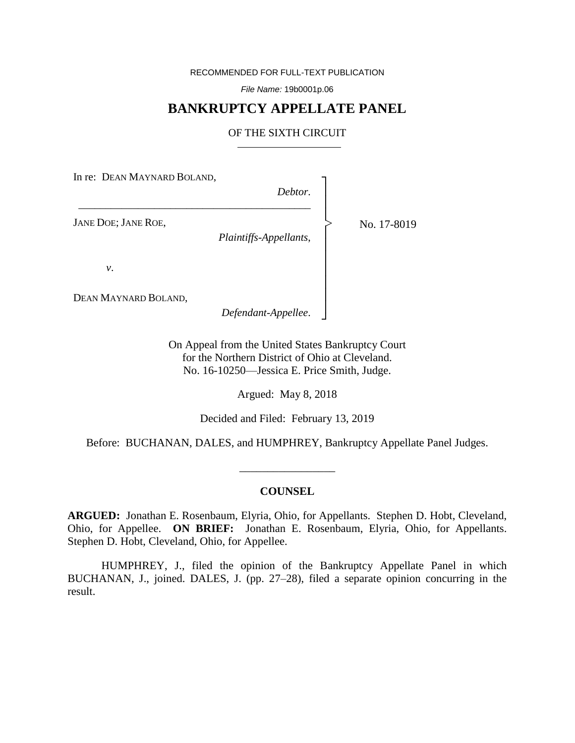RECOMMENDED FOR FULL-TEXT PUBLICATION

*File Name:* 19b0001p.06

# **BANKRUPTCY APPELLATE PANEL**

# OF THE SIXTH CIRCUIT

In re: DEAN MAYNARD BOLAND,

\_\_\_\_\_\_\_\_\_\_\_\_\_\_\_\_\_\_\_\_\_\_\_\_\_\_\_\_\_\_\_\_\_\_\_\_\_\_\_\_\_\_\_

*Debtor*.

┐ │ │ │ │ │ │ │ │ │ │ ┘

|<br>|<br>|

JANE DOE; JANE ROE,

*Plaintiffs-Appellants*,

No. 17-8019

*v*.

DEAN MAYNARD BOLAND,

*Defendant-Appellee*.

On Appeal from the United States Bankruptcy Court for the Northern District of Ohio at Cleveland. No. 16-10250—Jessica E. Price Smith, Judge.

Argued: May 8, 2018

Decided and Filed: February 13, 2019

Before: BUCHANAN, DALES, and HUMPHREY, Bankruptcy Appellate Panel Judges.

\_\_\_\_\_\_\_\_\_\_\_\_\_\_\_\_\_

### **COUNSEL**

**ARGUED:** Jonathan E. Rosenbaum, Elyria, Ohio, for Appellants. Stephen D. Hobt, Cleveland, Ohio, for Appellee. **ON BRIEF:** Jonathan E. Rosenbaum, Elyria, Ohio, for Appellants. Stephen D. Hobt, Cleveland, Ohio, for Appellee.

HUMPHREY, J., filed the opinion of the Bankruptcy Appellate Panel in which BUCHANAN, J., joined. DALES, J. (pp. 27–28), filed a separate opinion concurring in the result.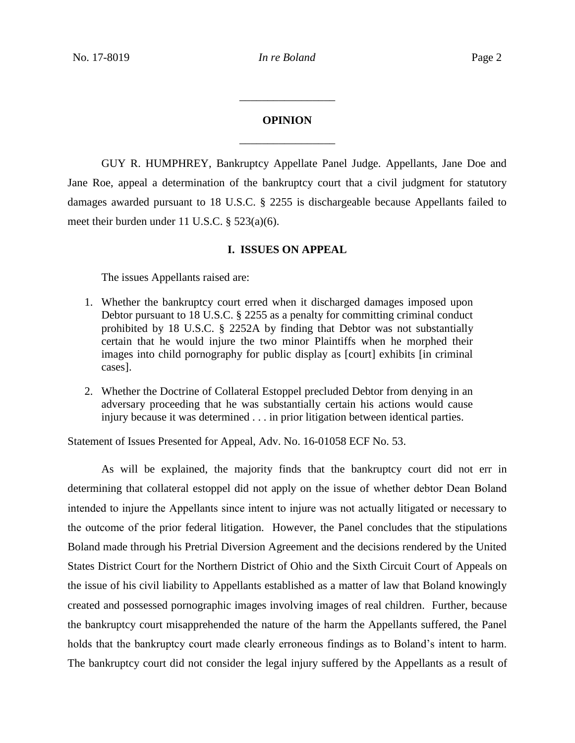# **OPINION** \_\_\_\_\_\_\_\_\_\_\_\_\_\_\_\_\_

\_\_\_\_\_\_\_\_\_\_\_\_\_\_\_\_\_

GUY R. HUMPHREY, Bankruptcy Appellate Panel Judge. Appellants, Jane Doe and Jane Roe, appeal a determination of the bankruptcy court that a civil judgment for statutory damages awarded pursuant to 18 U.S.C. § 2255 is dischargeable because Appellants failed to meet their burden under 11 U.S.C. § 523(a)(6).

### **I. ISSUES ON APPEAL**

The issues Appellants raised are:

- 1. Whether the bankruptcy court erred when it discharged damages imposed upon Debtor pursuant to 18 U.S.C. § 2255 as a penalty for committing criminal conduct prohibited by 18 U.S.C. § 2252A by finding that Debtor was not substantially certain that he would injure the two minor Plaintiffs when he morphed their images into child pornography for public display as [court] exhibits [in criminal cases].
- 2. Whether the Doctrine of Collateral Estoppel precluded Debtor from denying in an adversary proceeding that he was substantially certain his actions would cause injury because it was determined . . . in prior litigation between identical parties.

Statement of Issues Presented for Appeal, Adv. No. 16-01058 ECF No. 53.

As will be explained, the majority finds that the bankruptcy court did not err in determining that collateral estoppel did not apply on the issue of whether debtor Dean Boland intended to injure the Appellants since intent to injure was not actually litigated or necessary to the outcome of the prior federal litigation. However, the Panel concludes that the stipulations Boland made through his Pretrial Diversion Agreement and the decisions rendered by the United States District Court for the Northern District of Ohio and the Sixth Circuit Court of Appeals on the issue of his civil liability to Appellants established as a matter of law that Boland knowingly created and possessed pornographic images involving images of real children. Further, because the bankruptcy court misapprehended the nature of the harm the Appellants suffered, the Panel holds that the bankruptcy court made clearly erroneous findings as to Boland's intent to harm. The bankruptcy court did not consider the legal injury suffered by the Appellants as a result of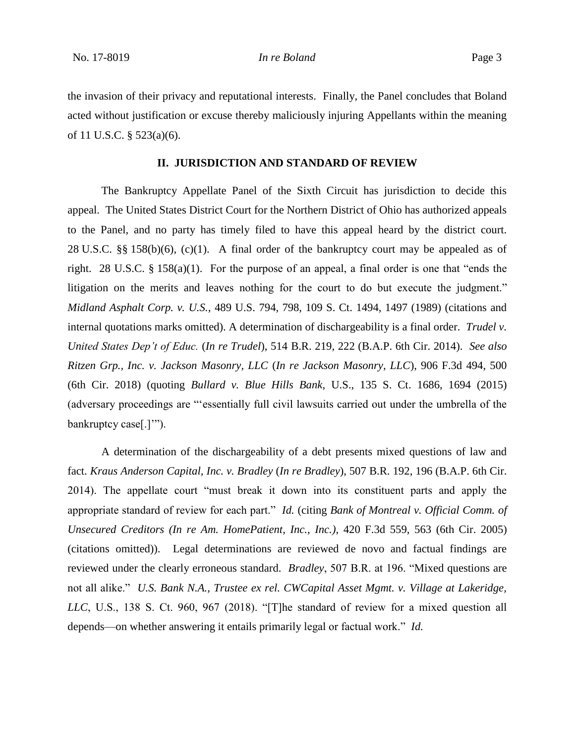the invasion of their privacy and reputational interests. Finally, the Panel concludes that Boland acted without justification or excuse thereby maliciously injuring Appellants within the meaning of 11 U.S.C. § 523(a)(6).

## **II. JURISDICTION AND STANDARD OF REVIEW**

The Bankruptcy Appellate Panel of the Sixth Circuit has jurisdiction to decide this appeal. The United States District Court for the Northern District of Ohio has authorized appeals to the Panel, and no party has timely filed to have this appeal heard by the district court. 28 U.S.C. §§ 158(b)(6), (c)(1). A final order of the bankruptcy court may be appealed as of right. 28 U.S.C. § 158(a)(1). For the purpose of an appeal, a final order is one that "ends the litigation on the merits and leaves nothing for the court to do but execute the judgment." *Midland Asphalt Corp. v. U.S.*, 489 U.S. 794, 798, 109 S. Ct. 1494, 1497 (1989) (citations and internal quotations marks omitted). A determination of dischargeability is a final order. *Trudel v. United States Dep't of Educ.* (*In re Trudel*), 514 B.R. 219, 222 (B.A.P. 6th Cir. 2014). *See also Ritzen Grp., Inc. v. Jackson Masonry, LLC* (*In re Jackson Masonry, LLC*), 906 F.3d 494, 500 (6th Cir. 2018) (quoting *Bullard v. Blue Hills Bank*, U.S., 135 S. Ct. 1686, 1694 (2015) (adversary proceedings are "'essentially full civil lawsuits carried out under the umbrella of the bankruptcy case[.]'").

A determination of the dischargeability of a debt presents mixed questions of law and fact. *Kraus Anderson Capital, Inc. v. Bradley* (*In re Bradley*), 507 B.R. 192, 196 (B.A.P. 6th Cir. 2014). The appellate court "must break it down into its constituent parts and apply the appropriate standard of review for each part." *Id.* (citing *Bank of Montreal v. Official Comm. of Unsecured Creditors (In re Am. HomePatient, Inc., Inc.)*, 420 F.3d 559, 563 (6th Cir. 2005) (citations omitted)). Legal determinations are reviewed de novo and factual findings are reviewed under the clearly erroneous standard. *Bradley*, 507 B.R. at 196. "Mixed questions are not all alike." *U.S. Bank N.A., Trustee ex rel. CWCapital Asset Mgmt. v. Village at Lakeridge, LLC*, U.S., 138 S. Ct. 960, 967 (2018). "[T]he standard of review for a mixed question all depends—on whether answering it entails primarily legal or factual work." *Id.*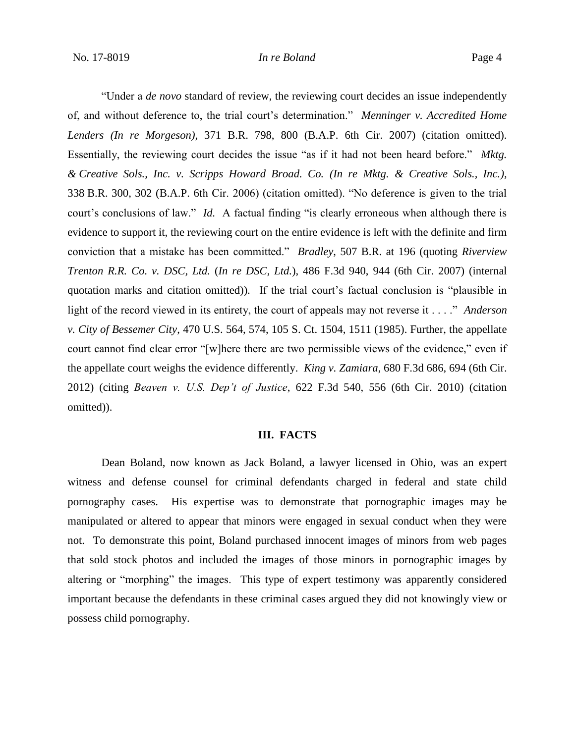"Under a *de novo* standard of review, the reviewing court decides an issue independently of, and without deference to, the trial court's determination." *Menninger v. Accredited Home Lenders (In re Morgeson)*, 371 B.R. 798, 800 (B.A.P. 6th Cir. 2007) (citation omitted). Essentially, the reviewing court decides the issue "as if it had not been heard before." *Mktg. & Creative Sols., Inc. v. Scripps Howard Broad. Co. (In re Mktg. & Creative Sols., Inc.),*  338 B.R. 300, 302 (B.A.P. 6th Cir. 2006) (citation omitted). "No deference is given to the trial court's conclusions of law." *Id.* A factual finding "is clearly erroneous when although there is evidence to support it, the reviewing court on the entire evidence is left with the definite and firm conviction that a mistake has been committed." *Bradley*, 507 B.R. at 196 (quoting *Riverview Trenton R.R. Co. v. DSC, Ltd.* (*In re DSC, Ltd.*), 486 F.3d 940, 944 (6th Cir. 2007) (internal quotation marks and citation omitted)). If the trial court's factual conclusion is "plausible in light of the record viewed in its entirety, the court of appeals may not reverse it . . . ." *Anderson v. City of Bessemer City*, 470 U.S. 564, 574, 105 S. Ct. 1504, 1511 (1985). Further, the appellate court cannot find clear error "[w]here there are two permissible views of the evidence," even if the appellate court weighs the evidence differently. *King v. Zamiara*, 680 F.3d 686, 694 (6th Cir. 2012) (citing *Beaven v. U.S. Dep't of Justice*, 622 F.3d 540, 556 (6th Cir. 2010) (citation omitted)).

### **III. FACTS**

Dean Boland, now known as Jack Boland, a lawyer licensed in Ohio, was an expert witness and defense counsel for criminal defendants charged in federal and state child pornography cases. His expertise was to demonstrate that pornographic images may be manipulated or altered to appear that minors were engaged in sexual conduct when they were not. To demonstrate this point, Boland purchased innocent images of minors from web pages that sold stock photos and included the images of those minors in pornographic images by altering or "morphing" the images. This type of expert testimony was apparently considered important because the defendants in these criminal cases argued they did not knowingly view or possess child pornography.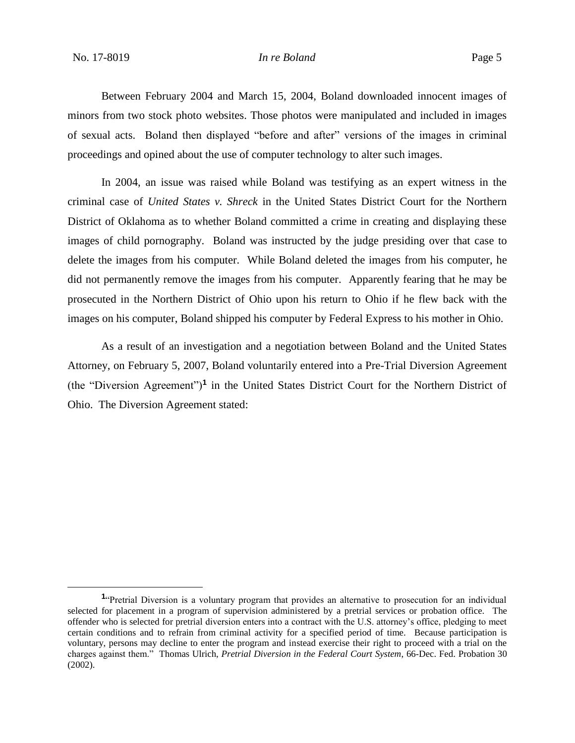Between February 2004 and March 15, 2004, Boland downloaded innocent images of minors from two stock photo websites. Those photos were manipulated and included in images of sexual acts. Boland then displayed "before and after" versions of the images in criminal proceedings and opined about the use of computer technology to alter such images.

In 2004, an issue was raised while Boland was testifying as an expert witness in the criminal case of *United States v. Shreck* in the United States District Court for the Northern District of Oklahoma as to whether Boland committed a crime in creating and displaying these images of child pornography. Boland was instructed by the judge presiding over that case to delete the images from his computer. While Boland deleted the images from his computer, he did not permanently remove the images from his computer. Apparently fearing that he may be prosecuted in the Northern District of Ohio upon his return to Ohio if he flew back with the images on his computer, Boland shipped his computer by Federal Express to his mother in Ohio.

As a result of an investigation and a negotiation between Boland and the United States Attorney, on February 5, 2007, Boland voluntarily entered into a Pre-Trial Diversion Agreement (the "Diversion Agreement")**<sup>1</sup>** in the United States District Court for the Northern District of Ohio. The Diversion Agreement stated:

<sup>&</sup>lt;sup>1</sup><sup>t</sup>Pretrial Diversion is a voluntary program that provides an alternative to prosecution for an individual selected for placement in a program of supervision administered by a pretrial services or probation office. The offender who is selected for pretrial diversion enters into a contract with the U.S. attorney's office, pledging to meet certain conditions and to refrain from criminal activity for a specified period of time. Because participation is voluntary, persons may decline to enter the program and instead exercise their right to proceed with a trial on the charges against them." Thomas Ulrich, *Pretrial Diversion in the Federal Court System*, 66-Dec. Fed. Probation 30 (2002).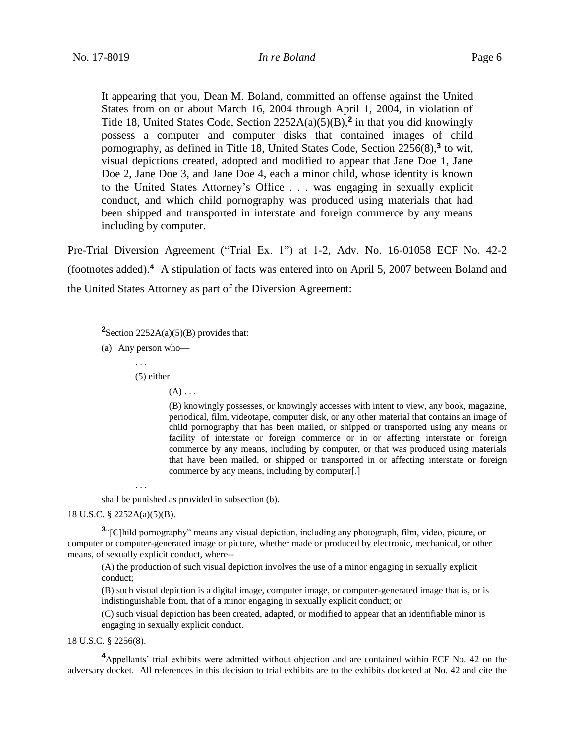It appearing that you, Dean M. Boland, committed an offense against the United States from on or about March 16, 2004 through April 1, 2004, in violation of Title 18, United States Code, Section 2252A(a)(5)(B),**<sup>2</sup>** in that you did knowingly possess a computer and computer disks that contained images of child pornography, as defined in Title 18, United States Code, Section 2256(8),**<sup>3</sup>** to wit, visual depictions created, adopted and modified to appear that Jane Doe 1, Jane Doe 2, Jane Doe 3, and Jane Doe 4, each a minor child, whose identity is known to the United States Attorney's Office . . . was engaging in sexually explicit conduct, and which child pornography was produced using materials that had been shipped and transported in interstate and foreign commerce by any means including by computer.

Pre-Trial Diversion Agreement ("Trial Ex. 1") at 1-2, Adv. No. 16-01058 ECF No. 42-2 (footnotes added).**<sup>4</sup>** A stipulation of facts was entered into on April 5, 2007 between Boland and the United States Attorney as part of the Diversion Agreement:

(a) Any person who—

 $\overline{a}$ 

. . . (5) either—

 $(A)$ ...

(B) knowingly possesses, or knowingly accesses with intent to view, any book, magazine, periodical, film, videotape, computer disk, or any other material that contains an image of child pornography that has been mailed, or shipped or transported using any means or facility of interstate or foreign commerce or in or affecting interstate or foreign commerce by any means, including by computer, or that was produced using materials that have been mailed, or shipped or transported in or affecting interstate or foreign commerce by any means, including by computer[.]

shall be punished as provided in subsection (b).

18 U.S.C. § 2252A(a)(5)(B).

. . .

**3** "[C]hild pornography" means any visual depiction, including any photograph, film, video, picture, or computer or computer-generated image or picture, whether made or produced by electronic, mechanical, or other means, of sexually explicit conduct, where--

(A) the production of such visual depiction involves the use of a minor engaging in sexually explicit conduct;

(B) such visual depiction is a digital image, computer image, or computer-generated image that is, or is indistinguishable from, that of a minor engaging in sexually explicit conduct; or

(C) such visual depiction has been created, adapted, or modified to appear that an identifiable minor is engaging in sexually explicit conduct.

18 U.S.C. § 2256(8).

**<sup>4</sup>**Appellants' trial exhibits were admitted without objection and are contained within ECF No. 42 on the adversary docket. All references in this decision to trial exhibits are to the exhibits docketed at No. 42 and cite the

**<sup>2</sup>**Section 2252A(a)(5)(B) provides that: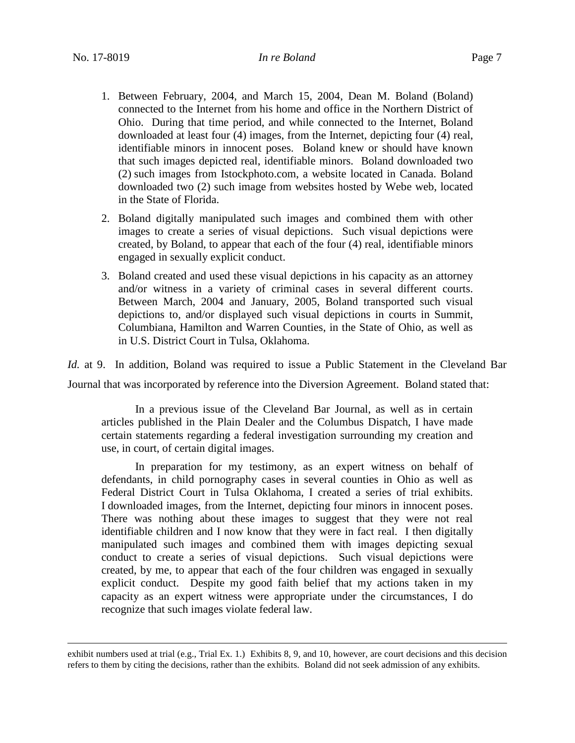- 1. Between February, 2004, and March 15, 2004, Dean M. Boland (Boland) connected to the Internet from his home and office in the Northern District of Ohio. During that time period, and while connected to the Internet, Boland downloaded at least four (4) images, from the Internet, depicting four (4) real, identifiable minors in innocent poses. Boland knew or should have known that such images depicted real, identifiable minors. Boland downloaded two (2) such images from Istockphoto.com, a website located in Canada. Boland downloaded two (2) such image from websites hosted by Webe web, located in the State of Florida.
- 2. Boland digitally manipulated such images and combined them with other images to create a series of visual depictions. Such visual depictions were created, by Boland, to appear that each of the four (4) real, identifiable minors engaged in sexually explicit conduct.
- 3. Boland created and used these visual depictions in his capacity as an attorney and/or witness in a variety of criminal cases in several different courts. Between March, 2004 and January, 2005, Boland transported such visual depictions to, and/or displayed such visual depictions in courts in Summit, Columbiana, Hamilton and Warren Counties, in the State of Ohio, as well as in U.S. District Court in Tulsa, Oklahoma.

*Id.* at 9. In addition, Boland was required to issue a Public Statement in the Cleveland Bar Journal that was incorporated by reference into the Diversion Agreement. Boland stated that:

In a previous issue of the Cleveland Bar Journal, as well as in certain articles published in the Plain Dealer and the Columbus Dispatch, I have made certain statements regarding a federal investigation surrounding my creation and use, in court, of certain digital images.

In preparation for my testimony, as an expert witness on behalf of defendants, in child pornography cases in several counties in Ohio as well as Federal District Court in Tulsa Oklahoma, I created a series of trial exhibits. I downloaded images, from the Internet, depicting four minors in innocent poses. There was nothing about these images to suggest that they were not real identifiable children and I now know that they were in fact real. I then digitally manipulated such images and combined them with images depicting sexual conduct to create a series of visual depictions. Such visual depictions were created, by me, to appear that each of the four children was engaged in sexually explicit conduct. Despite my good faith belief that my actions taken in my capacity as an expert witness were appropriate under the circumstances, I do recognize that such images violate federal law.

exhibit numbers used at trial (e.g., Trial Ex. 1.) Exhibits 8, 9, and 10, however, are court decisions and this decision refers to them by citing the decisions, rather than the exhibits. Boland did not seek admission of any exhibits.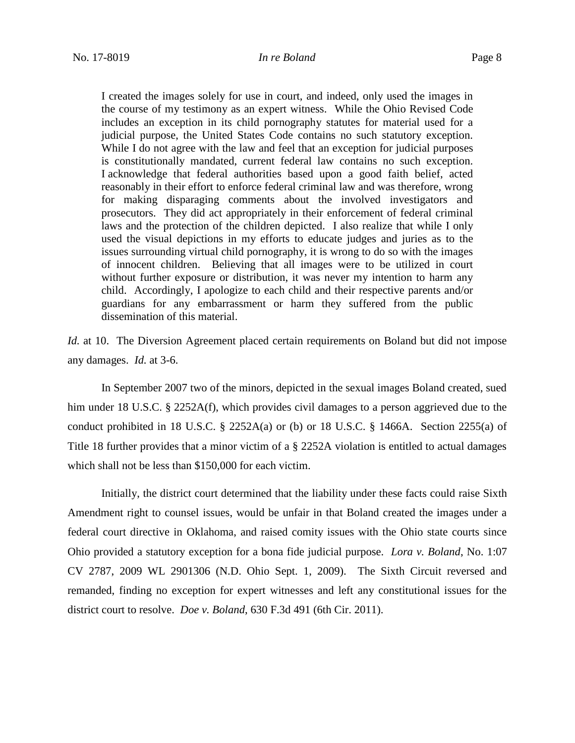I created the images solely for use in court, and indeed, only used the images in the course of my testimony as an expert witness. While the Ohio Revised Code includes an exception in its child pornography statutes for material used for a judicial purpose, the United States Code contains no such statutory exception. While I do not agree with the law and feel that an exception for judicial purposes is constitutionally mandated, current federal law contains no such exception. I acknowledge that federal authorities based upon a good faith belief, acted reasonably in their effort to enforce federal criminal law and was therefore, wrong for making disparaging comments about the involved investigators and prosecutors. They did act appropriately in their enforcement of federal criminal laws and the protection of the children depicted. I also realize that while I only used the visual depictions in my efforts to educate judges and juries as to the issues surrounding virtual child pornography, it is wrong to do so with the images of innocent children. Believing that all images were to be utilized in court without further exposure or distribution, it was never my intention to harm any child. Accordingly, I apologize to each child and their respective parents and/or guardians for any embarrassment or harm they suffered from the public dissemination of this material.

*Id.* at 10. The Diversion Agreement placed certain requirements on Boland but did not impose any damages. *Id.* at 3-6.

In September 2007 two of the minors, depicted in the sexual images Boland created, sued him under 18 U.S.C. § 2252A(f), which provides civil damages to a person aggrieved due to the conduct prohibited in 18 U.S.C. § 2252A(a) or (b) or 18 U.S.C. § 1466A. Section 2255(a) of Title 18 further provides that a minor victim of a § 2252A violation is entitled to actual damages which shall not be less than \$150,000 for each victim.

Initially, the district court determined that the liability under these facts could raise Sixth Amendment right to counsel issues, would be unfair in that Boland created the images under a federal court directive in Oklahoma, and raised comity issues with the Ohio state courts since Ohio provided a statutory exception for a bona fide judicial purpose. *Lora v. Boland*, No. 1:07 CV 2787, 2009 WL 2901306 (N.D. Ohio Sept. 1, 2009). The Sixth Circuit reversed and remanded, finding no exception for expert witnesses and left any constitutional issues for the district court to resolve. *Doe v. Boland*, 630 F.3d 491 (6th Cir. 2011).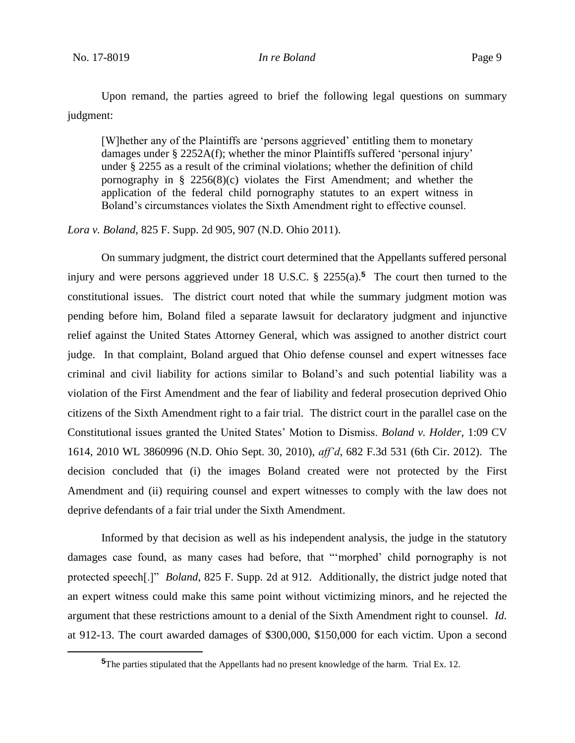Upon remand, the parties agreed to brief the following legal questions on summary judgment:

[W]hether any of the Plaintiffs are 'persons aggrieved' entitling them to monetary damages under § 2252A(f); whether the minor Plaintiffs suffered 'personal injury' under § 2255 as a result of the criminal violations; whether the definition of child pornography in  $\S$  2256(8)(c) violates the First Amendment; and whether the application of the federal child pornography statutes to an expert witness in Boland's circumstances violates the Sixth Amendment right to effective counsel.

*Lora v. Boland*, 825 F. Supp. 2d 905, 907 (N.D. Ohio 2011).

On summary judgment, the district court determined that the Appellants suffered personal injury and were persons aggrieved under 18 U.S.C. § 2255(a). **<sup>5</sup>** The court then turned to the constitutional issues. The district court noted that while the summary judgment motion was pending before him, Boland filed a separate lawsuit for declaratory judgment and injunctive relief against the United States Attorney General, which was assigned to another district court judge. In that complaint, Boland argued that Ohio defense counsel and expert witnesses face criminal and civil liability for actions similar to Boland's and such potential liability was a violation of the First Amendment and the fear of liability and federal prosecution deprived Ohio citizens of the Sixth Amendment right to a fair trial. The district court in the parallel case on the Constitutional issues granted the United States' Motion to Dismiss. *Boland v. Holder*, 1:09 CV 1614, 2010 WL 3860996 (N.D. Ohio Sept. 30, 2010), *aff'd*, 682 F.3d 531 (6th Cir. 2012). The decision concluded that (i) the images Boland created were not protected by the First Amendment and (ii) requiring counsel and expert witnesses to comply with the law does not deprive defendants of a fair trial under the Sixth Amendment.

Informed by that decision as well as his independent analysis, the judge in the statutory damages case found, as many cases had before, that "'morphed' child pornography is not protected speech[.]" *Boland*, 825 F. Supp. 2d at 912. Additionally, the district judge noted that an expert witness could make this same point without victimizing minors, and he rejected the argument that these restrictions amount to a denial of the Sixth Amendment right to counsel. *Id.*  at 912-13. The court awarded damages of \$300,000, \$150,000 for each victim. Upon a second

**<sup>5</sup>**The parties stipulated that the Appellants had no present knowledge of the harm. Trial Ex. 12.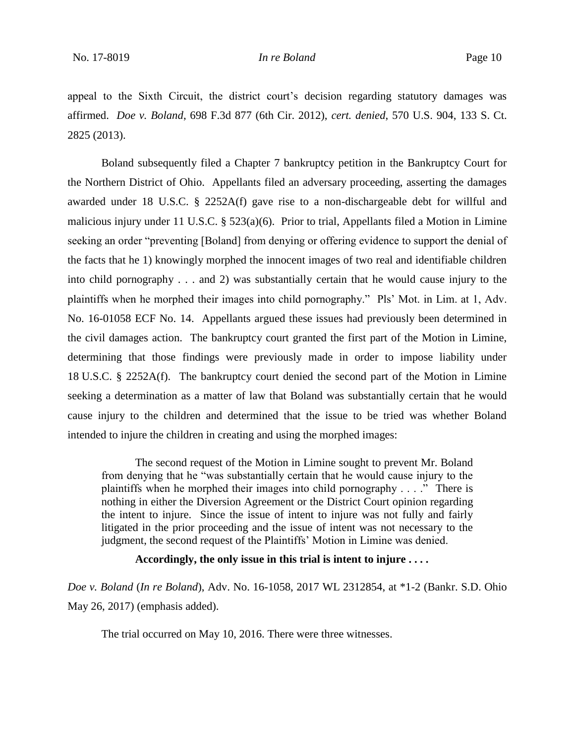appeal to the Sixth Circuit, the district court's decision regarding statutory damages was affirmed. *Doe v. Boland*, 698 F.3d 877 (6th Cir. 2012), *cert. denied*, 570 U.S. 904, 133 S. Ct. 2825 (2013).

Boland subsequently filed a Chapter 7 bankruptcy petition in the Bankruptcy Court for the Northern District of Ohio. Appellants filed an adversary proceeding, asserting the damages awarded under 18 U.S.C. § 2252A(f) gave rise to a non-dischargeable debt for willful and malicious injury under 11 U.S.C. § 523(a)(6). Prior to trial, Appellants filed a Motion in Limine seeking an order "preventing [Boland] from denying or offering evidence to support the denial of the facts that he 1) knowingly morphed the innocent images of two real and identifiable children into child pornography . . . and 2) was substantially certain that he would cause injury to the plaintiffs when he morphed their images into child pornography." Pls' Mot. in Lim. at 1, Adv. No. 16-01058 ECF No. 14. Appellants argued these issues had previously been determined in the civil damages action. The bankruptcy court granted the first part of the Motion in Limine, determining that those findings were previously made in order to impose liability under 18 U.S.C. § 2252A(f). The bankruptcy court denied the second part of the Motion in Limine seeking a determination as a matter of law that Boland was substantially certain that he would cause injury to the children and determined that the issue to be tried was whether Boland intended to injure the children in creating and using the morphed images:

The second request of the Motion in Limine sought to prevent Mr. Boland from denying that he "was substantially certain that he would cause injury to the plaintiffs when he morphed their images into child pornography . . . ." There is nothing in either the Diversion Agreement or the District Court opinion regarding the intent to injure. Since the issue of intent to injure was not fully and fairly litigated in the prior proceeding and the issue of intent was not necessary to the judgment, the second request of the Plaintiffs' Motion in Limine was denied.

### **Accordingly, the only issue in this trial is intent to injure . . . .**

*Doe v. Boland* (*In re Boland*), Adv. No. 16-1058, 2017 WL 2312854, at \*1-2 (Bankr. S.D. Ohio May 26, 2017) (emphasis added).

The trial occurred on May 10, 2016. There were three witnesses.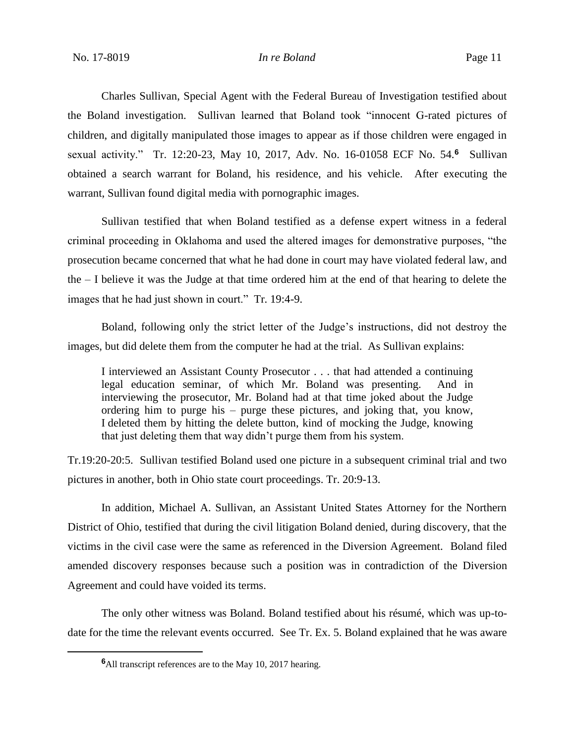Charles Sullivan, Special Agent with the Federal Bureau of Investigation testified about the Boland investigation. Sullivan learned that Boland took "innocent G-rated pictures of children, and digitally manipulated those images to appear as if those children were engaged in sexual activity." Tr. 12:20-23, May 10, 2017, Adv. No. 16-01058 ECF No. 54.**<sup>6</sup>** Sullivan obtained a search warrant for Boland, his residence, and his vehicle. After executing the warrant, Sullivan found digital media with pornographic images.

Sullivan testified that when Boland testified as a defense expert witness in a federal criminal proceeding in Oklahoma and used the altered images for demonstrative purposes, "the prosecution became concerned that what he had done in court may have violated federal law, and the – I believe it was the Judge at that time ordered him at the end of that hearing to delete the images that he had just shown in court." Tr. 19:4-9.

Boland, following only the strict letter of the Judge's instructions, did not destroy the images, but did delete them from the computer he had at the trial. As Sullivan explains:

I interviewed an Assistant County Prosecutor . . . that had attended a continuing legal education seminar, of which Mr. Boland was presenting. And in interviewing the prosecutor, Mr. Boland had at that time joked about the Judge ordering him to purge his – purge these pictures, and joking that, you know, I deleted them by hitting the delete button, kind of mocking the Judge, knowing that just deleting them that way didn't purge them from his system.

Tr.19:20-20:5. Sullivan testified Boland used one picture in a subsequent criminal trial and two pictures in another, both in Ohio state court proceedings. Tr. 20:9-13.

In addition, Michael A. Sullivan, an Assistant United States Attorney for the Northern District of Ohio, testified that during the civil litigation Boland denied, during discovery, that the victims in the civil case were the same as referenced in the Diversion Agreement. Boland filed amended discovery responses because such a position was in contradiction of the Diversion Agreement and could have voided its terms.

The only other witness was Boland. Boland testified about his résumé, which was up-todate for the time the relevant events occurred. See Tr. Ex. 5. Boland explained that he was aware

 $\overline{a}$ 

**<sup>6</sup>**All transcript references are to the May 10, 2017 hearing.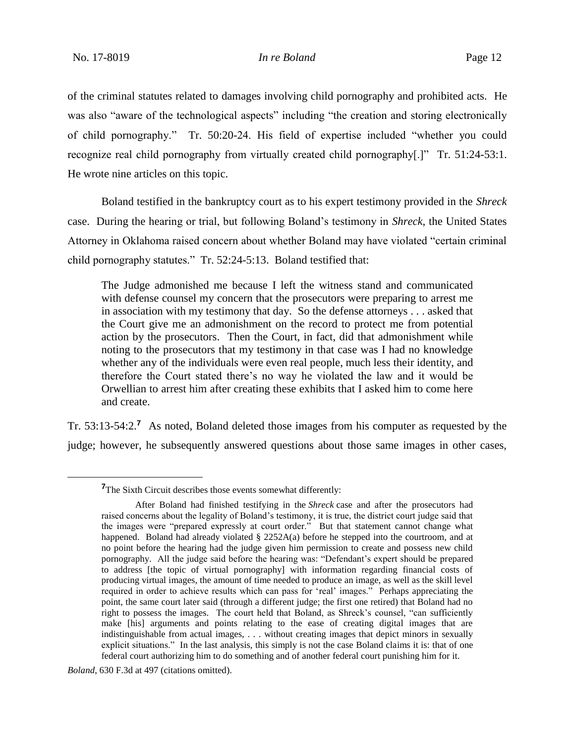of the criminal statutes related to damages involving child pornography and prohibited acts. He was also "aware of the technological aspects" including "the creation and storing electronically of child pornography." Tr. 50:20-24. His field of expertise included "whether you could recognize real child pornography from virtually created child pornography[.]" Tr. 51:24-53:1. He wrote nine articles on this topic.

Boland testified in the bankruptcy court as to his expert testimony provided in the *Shreck*  case. During the hearing or trial, but following Boland's testimony in *Shreck*, the United States Attorney in Oklahoma raised concern about whether Boland may have violated "certain criminal child pornography statutes." Tr. 52:24-5:13. Boland testified that:

The Judge admonished me because I left the witness stand and communicated with defense counsel my concern that the prosecutors were preparing to arrest me in association with my testimony that day. So the defense attorneys . . . asked that the Court give me an admonishment on the record to protect me from potential action by the prosecutors. Then the Court, in fact, did that admonishment while noting to the prosecutors that my testimony in that case was I had no knowledge whether any of the individuals were even real people, much less their identity, and therefore the Court stated there's no way he violated the law and it would be Orwellian to arrest him after creating these exhibits that I asked him to come here and create.

Tr. 53:13-54:2.**<sup>7</sup>** As noted, Boland deleted those images from his computer as requested by the judge; however, he subsequently answered questions about those same images in other cases,

**<sup>7</sup>**The Sixth Circuit describes those events somewhat differently:

After Boland had finished testifying in the *Shreck* case and after the prosecutors had raised concerns about the legality of Boland's testimony, it is true, the district court judge said that the images were "prepared expressly at court order." But that statement cannot change what happened. Boland had already violated § 2252A(a) before he stepped into the courtroom, and at no point before the hearing had the judge given him permission to create and possess new child pornography. All the judge said before the hearing was: "Defendant's expert should be prepared to address [the topic of virtual pornography] with information regarding financial costs of producing virtual images, the amount of time needed to produce an image, as well as the skill level required in order to achieve results which can pass for 'real' images." Perhaps appreciating the point, the same court later said (through a different judge; the first one retired) that Boland had no right to possess the images. The court held that Boland, as Shreck's counsel, "can sufficiently make [his] arguments and points relating to the ease of creating digital images that are indistinguishable from actual images, . . . without creating images that depict minors in sexually explicit situations." In the last analysis, this simply is not the case Boland claims it is: that of one federal court authorizing him to do something and of another federal court punishing him for it.

*Boland*, 630 F.3d at 497 (citations omitted).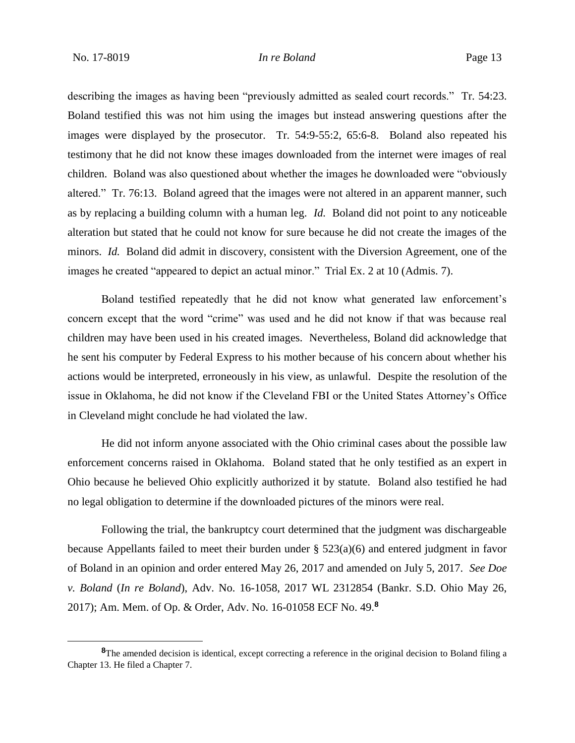describing the images as having been "previously admitted as sealed court records." Tr. 54:23. Boland testified this was not him using the images but instead answering questions after the images were displayed by the prosecutor. Tr. 54:9-55:2, 65:6-8. Boland also repeated his testimony that he did not know these images downloaded from the internet were images of real children. Boland was also questioned about whether the images he downloaded were "obviously altered." Tr. 76:13. Boland agreed that the images were not altered in an apparent manner, such as by replacing a building column with a human leg. *Id.* Boland did not point to any noticeable alteration but stated that he could not know for sure because he did not create the images of the minors. *Id.* Boland did admit in discovery, consistent with the Diversion Agreement, one of the images he created "appeared to depict an actual minor." Trial Ex. 2 at 10 (Admis. 7).

Boland testified repeatedly that he did not know what generated law enforcement's concern except that the word "crime" was used and he did not know if that was because real children may have been used in his created images. Nevertheless, Boland did acknowledge that he sent his computer by Federal Express to his mother because of his concern about whether his actions would be interpreted, erroneously in his view, as unlawful. Despite the resolution of the issue in Oklahoma, he did not know if the Cleveland FBI or the United States Attorney's Office in Cleveland might conclude he had violated the law.

He did not inform anyone associated with the Ohio criminal cases about the possible law enforcement concerns raised in Oklahoma. Boland stated that he only testified as an expert in Ohio because he believed Ohio explicitly authorized it by statute. Boland also testified he had no legal obligation to determine if the downloaded pictures of the minors were real.

Following the trial, the bankruptcy court determined that the judgment was dischargeable because Appellants failed to meet their burden under § 523(a)(6) and entered judgment in favor of Boland in an opinion and order entered May 26, 2017 and amended on July 5, 2017. *See Doe v. Boland* (*In re Boland*), Adv. No. 16-1058, 2017 WL 2312854 (Bankr. S.D. Ohio May 26, 2017); Am. Mem. of Op. & Order, Adv. No. 16-01058 ECF No. 49.**<sup>8</sup>**

**<sup>8</sup>**The amended decision is identical, except correcting a reference in the original decision to Boland filing a Chapter 13. He filed a Chapter 7.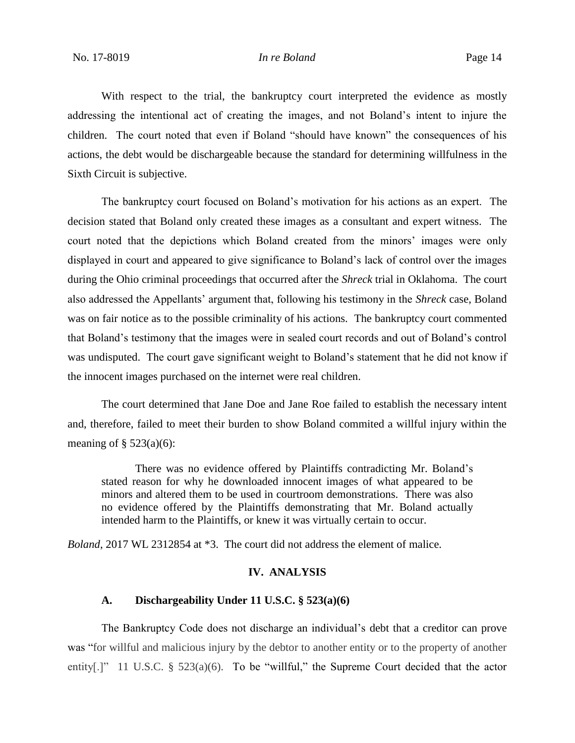With respect to the trial, the bankruptcy court interpreted the evidence as mostly addressing the intentional act of creating the images, and not Boland's intent to injure the children. The court noted that even if Boland "should have known" the consequences of his actions, the debt would be dischargeable because the standard for determining willfulness in the Sixth Circuit is subjective.

The bankruptcy court focused on Boland's motivation for his actions as an expert. The decision stated that Boland only created these images as a consultant and expert witness. The court noted that the depictions which Boland created from the minors' images were only displayed in court and appeared to give significance to Boland's lack of control over the images during the Ohio criminal proceedings that occurred after the *Shreck* trial in Oklahoma. The court also addressed the Appellants' argument that, following his testimony in the *Shreck* case, Boland was on fair notice as to the possible criminality of his actions. The bankruptcy court commented that Boland's testimony that the images were in sealed court records and out of Boland's control was undisputed. The court gave significant weight to Boland's statement that he did not know if the innocent images purchased on the internet were real children.

The court determined that Jane Doe and Jane Roe failed to establish the necessary intent and, therefore, failed to meet their burden to show Boland commited a willful injury within the meaning of  $\S$  523(a)(6):

There was no evidence offered by Plaintiffs contradicting Mr. Boland's stated reason for why he downloaded innocent images of what appeared to be minors and altered them to be used in courtroom demonstrations. There was also no evidence offered by the Plaintiffs demonstrating that Mr. Boland actually intended harm to the Plaintiffs, or knew it was virtually certain to occur.

*Boland*, 2017 WL 2312854 at \*3. The court did not address the element of malice.

## **IV. ANALYSIS**

## **A. Dischargeability Under 11 U.S.C. § 523(a)(6)**

The Bankruptcy Code does not discharge an individual's debt that a creditor can prove was "for willful and malicious injury by the debtor to another entity or to the property of another entity[.]" 11 U.S.C. § 523(a)(6). To be "willful," the Supreme Court decided that the actor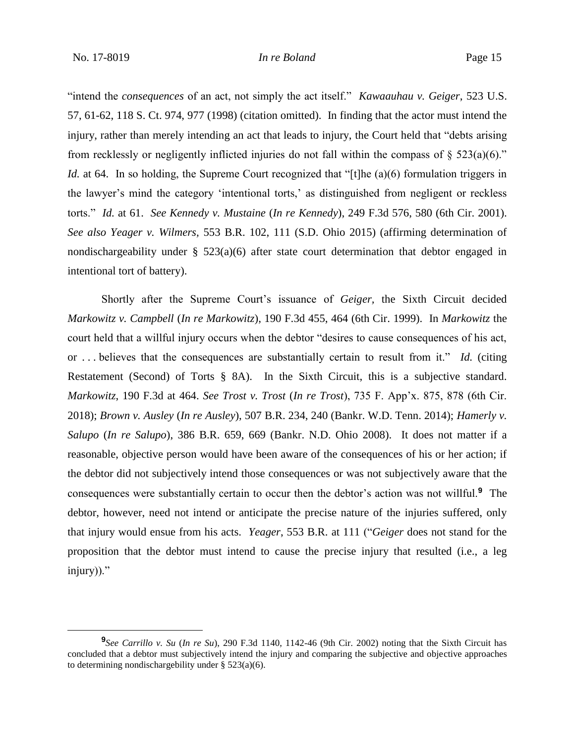"intend the *consequences* of an act, not simply the act itself." *Kawaauhau v. Geiger*, 523 U.S. 57, 61-62, 118 S. Ct. 974, 977 (1998) (citation omitted). In finding that the actor must intend the injury, rather than merely intending an act that leads to injury, the Court held that "debts arising from recklessly or negligently inflicted injuries do not fall within the compass of  $\S$  523(a)(6)." *Id.* at 64. In so holding, the Supreme Court recognized that "[t]he (a)(6) formulation triggers in the lawyer's mind the category 'intentional torts,' as distinguished from negligent or reckless torts." *Id.* at 61. *See Kennedy v. Mustaine* (*In re Kennedy*), 249 F.3d 576, 580 (6th Cir. 2001). *See also Yeager v. Wilmers,* 553 B.R. 102, 111 (S.D. Ohio 2015) (affirming determination of nondischargeability under § 523(a)(6) after state court determination that debtor engaged in intentional tort of battery).

Shortly after the Supreme Court's issuance of *Geiger,* the Sixth Circuit decided *Markowitz v. Campbell* (*In re Markowitz*), 190 F.3d 455, 464 (6th Cir. 1999). In *Markowitz* the court held that a willful injury occurs when the debtor "desires to cause consequences of his act, or . . . believes that the consequences are substantially certain to result from it." *Id.* (citing Restatement (Second) of Torts § 8A). In the Sixth Circuit, this is a subjective standard. *Markowitz*, 190 F.3d at 464. *See Trost v. Trost* (*In re Trost*), 735 F. App'x. 875, 878 (6th Cir. 2018); *Brown v. Ausley* (*In re Ausley*), 507 B.R. 234, 240 (Bankr. W.D. Tenn. 2014); *Hamerly v. Salupo* (*In re Salupo*), 386 B.R. 659, 669 (Bankr. N.D. Ohio 2008). It does not matter if a reasonable, objective person would have been aware of the consequences of his or her action; if the debtor did not subjectively intend those consequences or was not subjectively aware that the consequences were substantially certain to occur then the debtor's action was not willful.**<sup>9</sup>** The debtor, however, need not intend or anticipate the precise nature of the injuries suffered, only that injury would ensue from his acts. *Yeager*, 553 B.R. at 111 ("*Geiger* does not stand for the proposition that the debtor must intend to cause the precise injury that resulted (i.e., a leg injury))."

**<sup>9</sup>** *See Carrillo v. Su* (*In re Su*), 290 F.3d 1140, 1142-46 (9th Cir. 2002) noting that the Sixth Circuit has concluded that a debtor must subjectively intend the injury and comparing the subjective and objective approaches to determining nondischargebility under  $\S$  523(a)(6).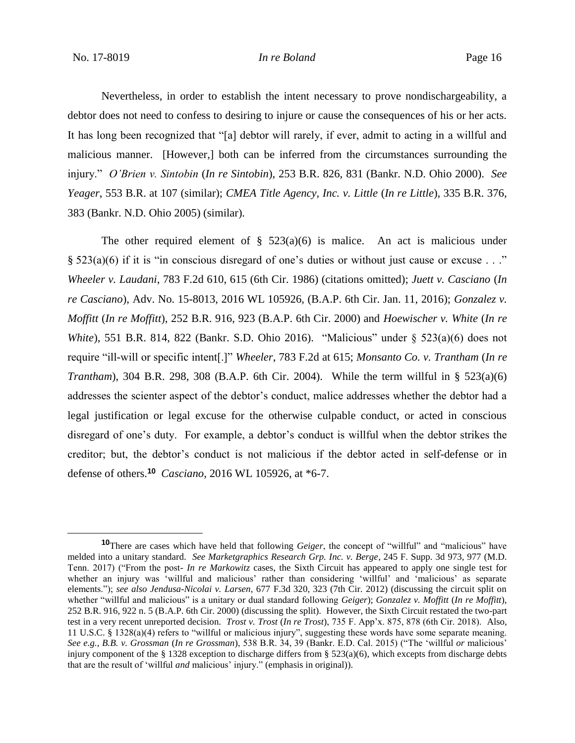### No. 17-8019 *In re Boland* Page 16

Nevertheless, in order to establish the intent necessary to prove nondischargeability, a debtor does not need to confess to desiring to injure or cause the consequences of his or her acts. It has long been recognized that "[a] debtor will rarely, if ever, admit to acting in a willful and malicious manner. [However,] both can be inferred from the circumstances surrounding the injury." *O'Brien v. Sintobin* (*In re Sintobin*), 253 B.R. 826, 831 (Bankr. N.D. Ohio 2000). *See Yeager*, 553 B.R. at 107 (similar); *CMEA Title Agency, Inc. v. Little* (*In re Little*), 335 B.R. 376, 383 (Bankr. N.D. Ohio 2005) (similar).

The other required element of  $\S$  523(a)(6) is malice. An act is malicious under § 523(a)(6) if it is "in conscious disregard of one's duties or without just cause or excuse . . ." *Wheeler v. Laudani*, 783 F.2d 610, 615 (6th Cir. 1986) (citations omitted); *Juett v. Casciano* (*In re Casciano*), Adv. No. 15-8013, 2016 WL 105926, (B.A.P. 6th Cir. Jan. 11, 2016); *Gonzalez v. Moffitt* (*In re Moffitt*), 252 B.R. 916, 923 (B.A.P. 6th Cir. 2000) and *Hoewischer v. White* (*In re White*), 551 B.R. 814, 822 (Bankr. S.D. Ohio 2016). "Malicious" under § 523(a)(6) does not require "ill-will or specific intent[.]" *Wheeler*, 783 F.2d at 615; *Monsanto Co. v. Trantham* (*In re Trantham*), 304 B.R. 298, 308 (B.A.P. 6th Cir. 2004). While the term willful in § 523(a)(6) addresses the scienter aspect of the debtor's conduct, malice addresses whether the debtor had a legal justification or legal excuse for the otherwise culpable conduct, or acted in conscious disregard of one's duty. For example, a debtor's conduct is willful when the debtor strikes the creditor; but, the debtor's conduct is not malicious if the debtor acted in self-defense or in defense of others.**<sup>10</sup>** *Casciano*, 2016 WL 105926, at \*6-7.

**<sup>10</sup>**There are cases which have held that following *Geiger*, the concept of "willful" and "malicious" have melded into a unitary standard. *See Marketgraphics Research Grp. Inc. v. Berge*, 245 F. Supp. 3d 973, 977 (M.D. Tenn. 2017) ("From the post- *In re Markowitz* cases, the Sixth Circuit has appeared to apply one single test for whether an injury was 'willful and malicious' rather than considering 'willful' and 'malicious' as separate elements."); *see also Jendusa-Nicolai v. Larsen*, 677 F.3d 320, 323 (7th Cir. 2012) (discussing the circuit split on whether "willful and malicious" is a unitary or dual standard following *Geiger*); *Gonzalez v. Moffitt* (*In re Moffitt*), 252 B.R. 916, 922 n. 5 (B.A.P. 6th Cir. 2000) (discussing the split). However, the Sixth Circuit restated the two-part test in a very recent unreported decision. *Trost v. Trost* (*In re Trost*), 735 F. App'x. 875, 878 (6th Cir. 2018). Also, 11 U.S.C. § 1328(a)(4) refers to "willful or malicious injury", suggesting these words have some separate meaning. *See e.g., B.B. v. Grossman* (*In re Grossman*), 538 B.R. 34, 39 (Bankr. E.D. Cal. 2015) ("The 'willful *or* malicious' injury component of the § 1328 exception to discharge differs from §  $523(a)(6)$ , which excepts from discharge debts that are the result of 'willful *and* malicious' injury." (emphasis in original)).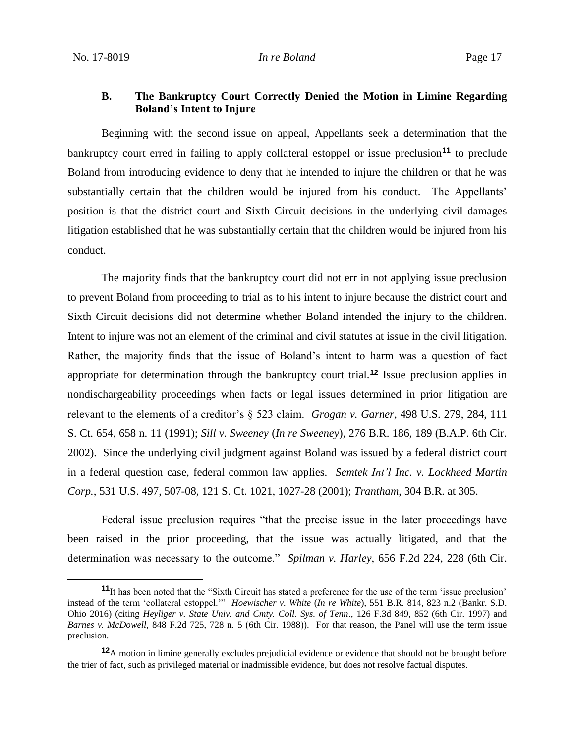# **B. The Bankruptcy Court Correctly Denied the Motion in Limine Regarding Boland's Intent to Injure**

Beginning with the second issue on appeal, Appellants seek a determination that the bankruptcy court erred in failing to apply collateral estoppel or issue preclusion**<sup>11</sup>** to preclude Boland from introducing evidence to deny that he intended to injure the children or that he was substantially certain that the children would be injured from his conduct. The Appellants' position is that the district court and Sixth Circuit decisions in the underlying civil damages litigation established that he was substantially certain that the children would be injured from his conduct.

The majority finds that the bankruptcy court did not err in not applying issue preclusion to prevent Boland from proceeding to trial as to his intent to injure because the district court and Sixth Circuit decisions did not determine whether Boland intended the injury to the children. Intent to injure was not an element of the criminal and civil statutes at issue in the civil litigation. Rather, the majority finds that the issue of Boland's intent to harm was a question of fact appropriate for determination through the bankruptcy court trial.**<sup>12</sup>** Issue preclusion applies in nondischargeability proceedings when facts or legal issues determined in prior litigation are relevant to the elements of a creditor's § 523 claim. *Grogan v. Garner*, 498 U.S. 279, 284, 111 S. Ct. 654, 658 n. 11 (1991); *Sill v. Sweeney* (*In re Sweeney*), 276 B.R. 186, 189 (B.A.P. 6th Cir. 2002). Since the underlying civil judgment against Boland was issued by a federal district court in a federal question case, federal common law applies. *Semtek Int'l Inc. v. Lockheed Martin Corp.*, 531 U.S. 497, 507-08, 121 S. Ct. 1021, 1027-28 (2001); *Trantham*, 304 B.R. at 305.

Federal issue preclusion requires "that the precise issue in the later proceedings have been raised in the prior proceeding, that the issue was actually litigated, and that the determination was necessary to the outcome." *Spilman v. Harley*, 656 F.2d 224, 228 (6th Cir.

**<sup>11</sup>**It has been noted that the "Sixth Circuit has stated a preference for the use of the term 'issue preclusion' instead of the term 'collateral estoppel.'" *Hoewischer v. White* (*In re White*), 551 B.R. 814, 823 n.2 (Bankr. S.D. Ohio 2016) (citing *Heyliger v. State Univ. and Cmty. Coll. Sys. of Tenn*., 126 F.3d 849, 852 (6th Cir. 1997) and *Barnes v. McDowell,* 848 F.2d 725, 728 n. 5 (6th Cir. 1988)). For that reason, the Panel will use the term issue preclusion.

**<sup>12</sup>**A motion in limine generally excludes prejudicial evidence or evidence that should not be brought before the trier of fact, such as privileged material or inadmissible evidence, but does not resolve factual disputes.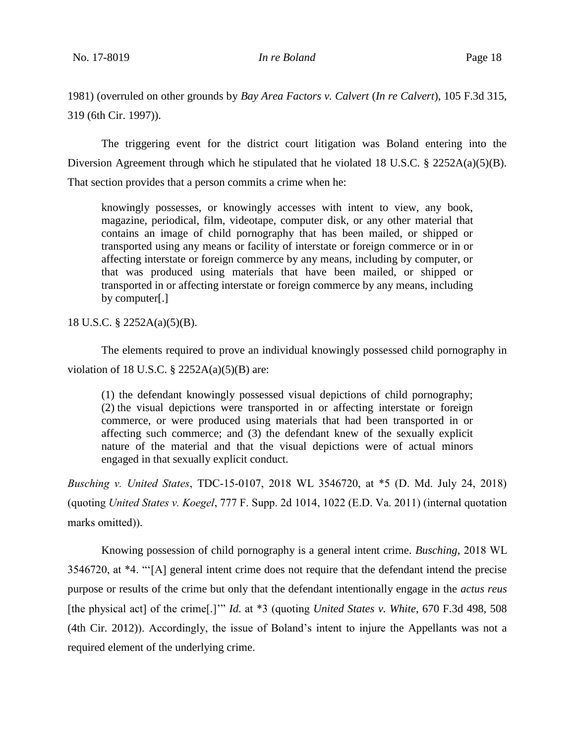1981) (overruled on other grounds by *Bay Area Factors v. Calvert* (*In re Calvert*), 105 F.3d 315, 319 (6th Cir. 1997)).

The triggering event for the district court litigation was Boland entering into the Diversion Agreement through which he stipulated that he violated 18 U.S.C.  $\S$  2252A(a)(5)(B). That section provides that a person commits a crime when he:

knowingly possesses, or knowingly accesses with intent to view, any book, magazine, periodical, film, videotape, computer disk, or any other material that contains an image of child pornography that has been mailed, or shipped or transported using any means or facility of interstate or foreign commerce or in or affecting interstate or foreign commerce by any means, including by computer, or that was produced using materials that have been mailed, or shipped or transported in or affecting interstate or foreign commerce by any means, including by computer[.]

18 U.S.C. § 2252A(a)(5)(B).

The elements required to prove an individual knowingly possessed child pornography in violation of 18 U.S.C.  $\S$  2252A(a)(5)(B) are:

(1) the defendant knowingly possessed visual depictions of child pornography; (2) the visual depictions were transported in or affecting interstate or foreign commerce, or were produced using materials that had been transported in or affecting such commerce; and (3) the defendant knew of the sexually explicit nature of the material and that the visual depictions were of actual minors engaged in that sexually explicit conduct.

*Busching v. United States*, TDC-15-0107, 2018 WL 3546720, at \*5 (D. Md. July 24, 2018) (quoting *United States v. Koegel*, 777 F. Supp. 2d 1014, 1022 (E.D. Va. 2011) (internal quotation marks omitted)).

Knowing possession of child pornography is a general intent crime. *Busching*, 2018 WL 3546720, at \*4. "'[A] general intent crime does not require that the defendant intend the precise purpose or results of the crime but only that the defendant intentionally engage in the *actus reus* [the physical act] of the crime[.]'" *Id*. at \*3 (quoting *United States v. White*, 670 F.3d 498, 508 (4th Cir. 2012)). Accordingly, the issue of Boland's intent to injure the Appellants was not a required element of the underlying crime.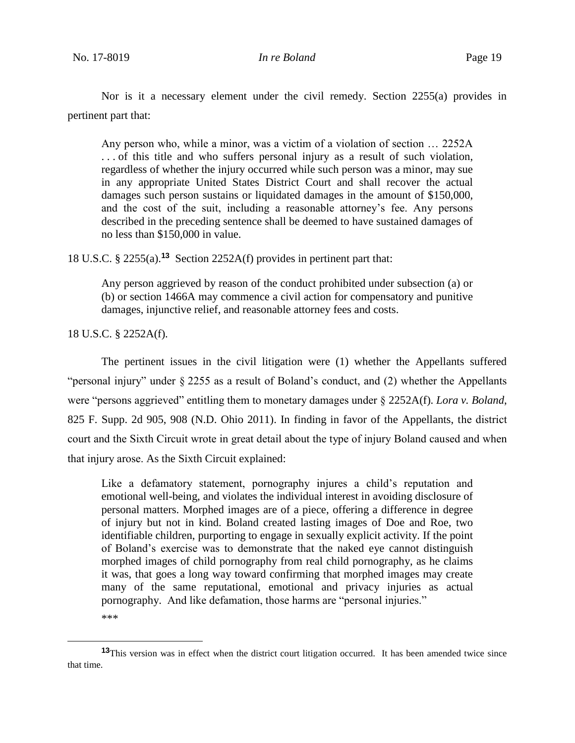Nor is it a necessary element under the civil remedy. Section 2255(a) provides in pertinent part that:

Any person who, while a minor, was a victim of a violation of section … 2252A . . . of this title and who suffers personal injury as a result of such violation, regardless of whether the injury occurred while such person was a minor, may sue in any appropriate United States District Court and shall recover the actual damages such person sustains or liquidated damages in the amount of \$150,000, and the cost of the suit, including a reasonable attorney's fee. Any persons described in the preceding sentence shall be deemed to have sustained damages of no less than \$150,000 in value.

18 U.S.C. § 2255(a).**<sup>13</sup>** Section 2252A(f) provides in pertinent part that:

Any person aggrieved by reason of the conduct prohibited under subsection (a) or (b) or section 1466A may commence a civil action for compensatory and punitive damages, injunctive relief, and reasonable attorney fees and costs.

18 U.S.C. § 2252A(f).

The pertinent issues in the civil litigation were (1) whether the Appellants suffered "personal injury" under § 2255 as a result of Boland's conduct, and (2) whether the Appellants were "persons aggrieved" entitling them to monetary damages under § 2252A(f). *Lora v. Boland*, 825 F. Supp. 2d 905, 908 (N.D. Ohio 2011). In finding in favor of the Appellants, the district court and the Sixth Circuit wrote in great detail about the type of injury Boland caused and when that injury arose. As the Sixth Circuit explained:

Like a defamatory statement, pornography injures a child's reputation and emotional well-being, and violates the individual interest in avoiding disclosure of personal matters. Morphed images are of a piece, offering a difference in degree of injury but not in kind. Boland created lasting images of Doe and Roe, two identifiable children, purporting to engage in sexually explicit activity. If the point of Boland's exercise was to demonstrate that the naked eye cannot distinguish morphed images of child pornography from real child pornography, as he claims it was, that goes a long way toward confirming that morphed images may create many of the same reputational, emotional and privacy injuries as actual pornography. And like defamation, those harms are "personal injuries."

 $\overline{a}$ 

<sup>\*\*\*</sup> 

**<sup>13</sup>**This version was in effect when the district court litigation occurred. It has been amended twice since that time.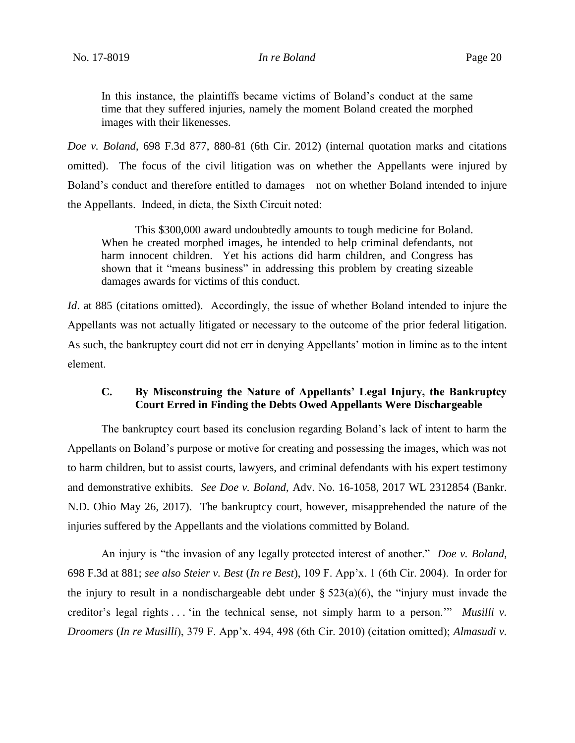In this instance, the plaintiffs became victims of Boland's conduct at the same time that they suffered injuries, namely the moment Boland created the morphed images with their likenesses.

*Doe v. Boland*, 698 F.3d 877, 880-81 (6th Cir. 2012) (internal quotation marks and citations omitted). The focus of the civil litigation was on whether the Appellants were injured by Boland's conduct and therefore entitled to damages—not on whether Boland intended to injure the Appellants. Indeed, in dicta, the Sixth Circuit noted:

This \$300,000 award undoubtedly amounts to tough medicine for Boland. When he created morphed images, he intended to help criminal defendants, not harm innocent children. Yet his actions did harm children, and Congress has shown that it "means business" in addressing this problem by creating sizeable damages awards for victims of this conduct.

*Id*. at 885 (citations omitted). Accordingly, the issue of whether Boland intended to injure the Appellants was not actually litigated or necessary to the outcome of the prior federal litigation. As such, the bankruptcy court did not err in denying Appellants' motion in limine as to the intent element.

# **C. By Misconstruing the Nature of Appellants' Legal Injury, the Bankruptcy Court Erred in Finding the Debts Owed Appellants Were Dischargeable**

The bankruptcy court based its conclusion regarding Boland's lack of intent to harm the Appellants on Boland's purpose or motive for creating and possessing the images, which was not to harm children, but to assist courts, lawyers, and criminal defendants with his expert testimony and demonstrative exhibits. *See Doe v. Boland*, Adv. No. 16-1058, 2017 WL 2312854 (Bankr. N.D. Ohio May 26, 2017). The bankruptcy court, however, misapprehended the nature of the injuries suffered by the Appellants and the violations committed by Boland.

An injury is "the invasion of any legally protected interest of another." *Doe v. Boland*, 698 F.3d at 881; *see also Steier v. Best* (*In re Best*), 109 F. App'x. 1 (6th Cir. 2004). In order for the injury to result in a nondischargeable debt under  $\S$  523(a)(6), the "injury must invade the creditor's legal rights . . . 'in the technical sense, not simply harm to a person.'" *Musilli v. Droomers* (*In re Musilli*), 379 F. App'x. 494, 498 (6th Cir. 2010) (citation omitted); *Almasudi v.*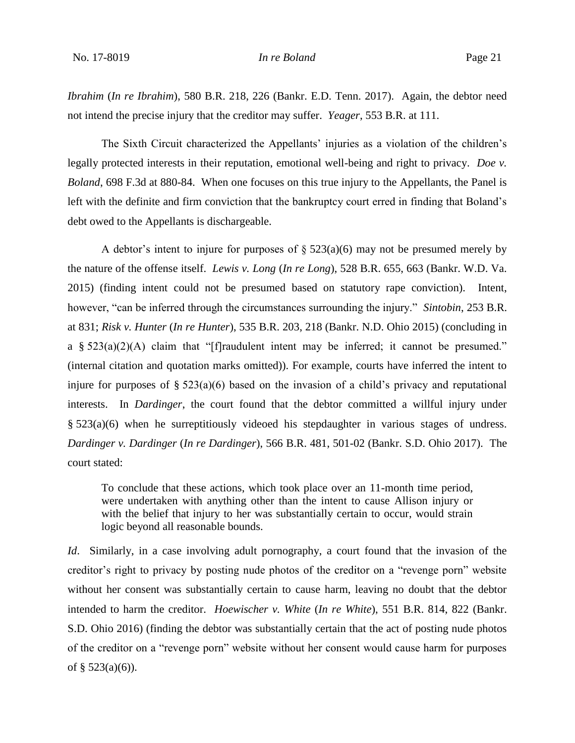*Ibrahim* (*In re Ibrahim*), 580 B.R. 218, 226 (Bankr. E.D. Tenn. 2017). Again, the debtor need not intend the precise injury that the creditor may suffer. *Yeager*, 553 B.R. at 111.

The Sixth Circuit characterized the Appellants' injuries as a violation of the children's legally protected interests in their reputation, emotional well-being and right to privacy. *Doe v. Boland*, 698 F.3d at 880-84. When one focuses on this true injury to the Appellants, the Panel is left with the definite and firm conviction that the bankruptcy court erred in finding that Boland's debt owed to the Appellants is dischargeable.

A debtor's intent to injure for purposes of  $\S 523(a)(6)$  may not be presumed merely by the nature of the offense itself. *Lewis v. Long* (*In re Long*), 528 B.R. 655, 663 (Bankr. W.D. Va. 2015) (finding intent could not be presumed based on statutory rape conviction). Intent, however, "can be inferred through the circumstances surrounding the injury." *Sintobin*, 253 B.R. at 831; *Risk v. Hunter* (*In re Hunter*), 535 B.R. 203, 218 (Bankr. N.D. Ohio 2015) (concluding in a §  $523(a)(2)(A)$  claim that "[f]raudulent intent may be inferred; it cannot be presumed." (internal citation and quotation marks omitted)). For example, courts have inferred the intent to injure for purposes of  $\S 523(a)(6)$  based on the invasion of a child's privacy and reputational interests. In *Dardinger*, the court found that the debtor committed a willful injury under § 523(a)(6) when he surreptitiously videoed his stepdaughter in various stages of undress. *Dardinger v. Dardinger* (*In re Dardinger*), 566 B.R. 481, 501-02 (Bankr. S.D. Ohio 2017). The court stated:

To conclude that these actions, which took place over an 11-month time period, were undertaken with anything other than the intent to cause Allison injury or with the belief that injury to her was substantially certain to occur, would strain logic beyond all reasonable bounds.

*Id.* Similarly, in a case involving adult pornography, a court found that the invasion of the creditor's right to privacy by posting nude photos of the creditor on a "revenge porn" website without her consent was substantially certain to cause harm, leaving no doubt that the debtor intended to harm the creditor. *Hoewischer v. White* (*In re White*), 551 B.R. 814, 822 (Bankr. S.D. Ohio 2016) (finding the debtor was substantially certain that the act of posting nude photos of the creditor on a "revenge porn" website without her consent would cause harm for purposes of  $\S$  523(a)(6)).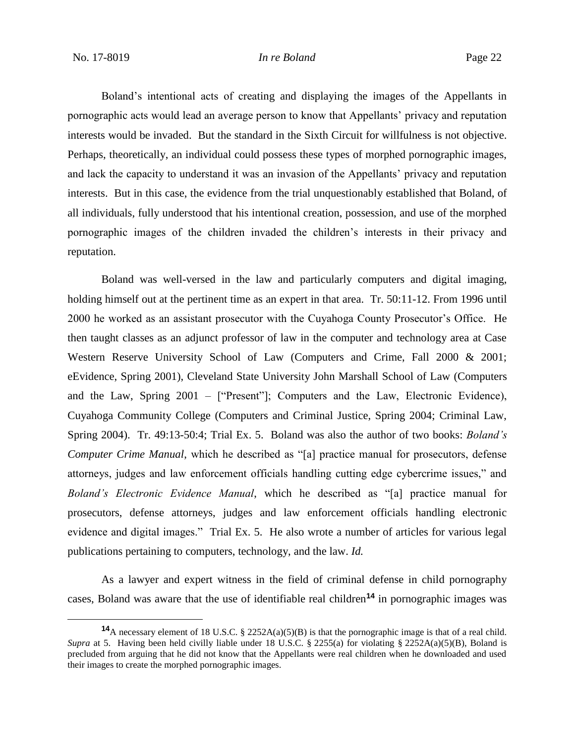Boland's intentional acts of creating and displaying the images of the Appellants in pornographic acts would lead an average person to know that Appellants' privacy and reputation interests would be invaded. But the standard in the Sixth Circuit for willfulness is not objective. Perhaps, theoretically, an individual could possess these types of morphed pornographic images, and lack the capacity to understand it was an invasion of the Appellants' privacy and reputation interests. But in this case, the evidence from the trial unquestionably established that Boland, of all individuals, fully understood that his intentional creation, possession, and use of the morphed pornographic images of the children invaded the children's interests in their privacy and reputation.

Boland was well-versed in the law and particularly computers and digital imaging, holding himself out at the pertinent time as an expert in that area. Tr. 50:11-12. From 1996 until 2000 he worked as an assistant prosecutor with the Cuyahoga County Prosecutor's Office. He then taught classes as an adjunct professor of law in the computer and technology area at Case Western Reserve University School of Law (Computers and Crime, Fall 2000 & 2001; eEvidence, Spring 2001), Cleveland State University John Marshall School of Law (Computers and the Law, Spring 2001 – ["Present"]; Computers and the Law, Electronic Evidence), Cuyahoga Community College (Computers and Criminal Justice, Spring 2004; Criminal Law, Spring 2004). Tr. 49:13-50:4; Trial Ex. 5. Boland was also the author of two books: *Boland's Computer Crime Manual*, which he described as "[a] practice manual for prosecutors, defense attorneys, judges and law enforcement officials handling cutting edge cybercrime issues," and *Boland's Electronic Evidence Manual*, which he described as "[a] practice manual for prosecutors, defense attorneys, judges and law enforcement officials handling electronic evidence and digital images." Trial Ex. 5. He also wrote a number of articles for various legal publications pertaining to computers, technology, and the law. *Id.*

As a lawyer and expert witness in the field of criminal defense in child pornography cases, Boland was aware that the use of identifiable real children**<sup>14</sup>** in pornographic images was

**<sup>14</sup>**A necessary element of 18 U.S.C. § 2252A(a)(5)(B) is that the pornographic image is that of a real child. *Supra* at 5. Having been held civilly liable under 18 U.S.C. § 2255(a) for violating § 2252A(a)(5)(B), Boland is precluded from arguing that he did not know that the Appellants were real children when he downloaded and used their images to create the morphed pornographic images.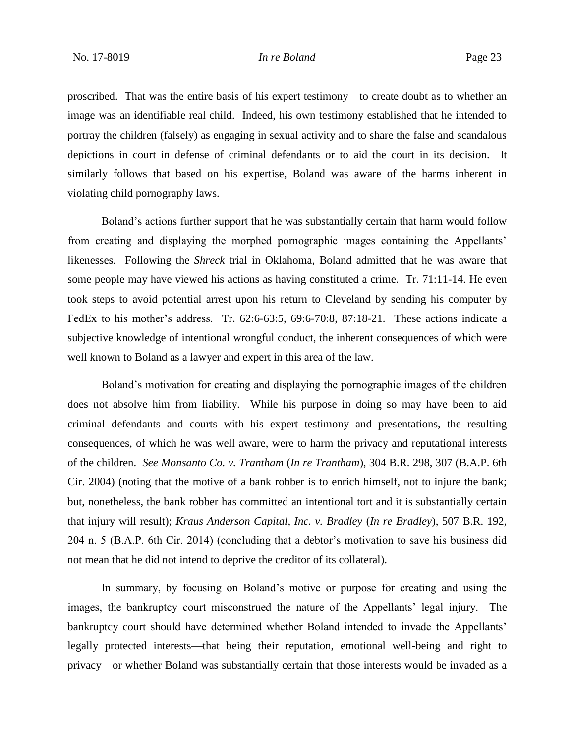proscribed. That was the entire basis of his expert testimony—to create doubt as to whether an image was an identifiable real child. Indeed, his own testimony established that he intended to portray the children (falsely) as engaging in sexual activity and to share the false and scandalous depictions in court in defense of criminal defendants or to aid the court in its decision. It similarly follows that based on his expertise, Boland was aware of the harms inherent in violating child pornography laws.

Boland's actions further support that he was substantially certain that harm would follow from creating and displaying the morphed pornographic images containing the Appellants' likenesses. Following the *Shreck* trial in Oklahoma, Boland admitted that he was aware that some people may have viewed his actions as having constituted a crime. Tr. 71:11-14. He even took steps to avoid potential arrest upon his return to Cleveland by sending his computer by FedEx to his mother's address. Tr. 62:6-63:5, 69:6-70:8, 87:18-21. These actions indicate a subjective knowledge of intentional wrongful conduct, the inherent consequences of which were well known to Boland as a lawyer and expert in this area of the law.

Boland's motivation for creating and displaying the pornographic images of the children does not absolve him from liability. While his purpose in doing so may have been to aid criminal defendants and courts with his expert testimony and presentations, the resulting consequences, of which he was well aware, were to harm the privacy and reputational interests of the children. *See Monsanto Co. v. Trantham* (*In re Trantham*), 304 B.R. 298, 307 (B.A.P. 6th Cir. 2004) (noting that the motive of a bank robber is to enrich himself, not to injure the bank; but, nonetheless, the bank robber has committed an intentional tort and it is substantially certain that injury will result); *Kraus Anderson Capital, Inc. v. Bradley* (*In re Bradley*), 507 B.R. 192, 204 n. 5 (B.A.P. 6th Cir. 2014) (concluding that a debtor's motivation to save his business did not mean that he did not intend to deprive the creditor of its collateral).

In summary, by focusing on Boland's motive or purpose for creating and using the images, the bankruptcy court misconstrued the nature of the Appellants' legal injury. The bankruptcy court should have determined whether Boland intended to invade the Appellants' legally protected interests—that being their reputation, emotional well-being and right to privacy—or whether Boland was substantially certain that those interests would be invaded as a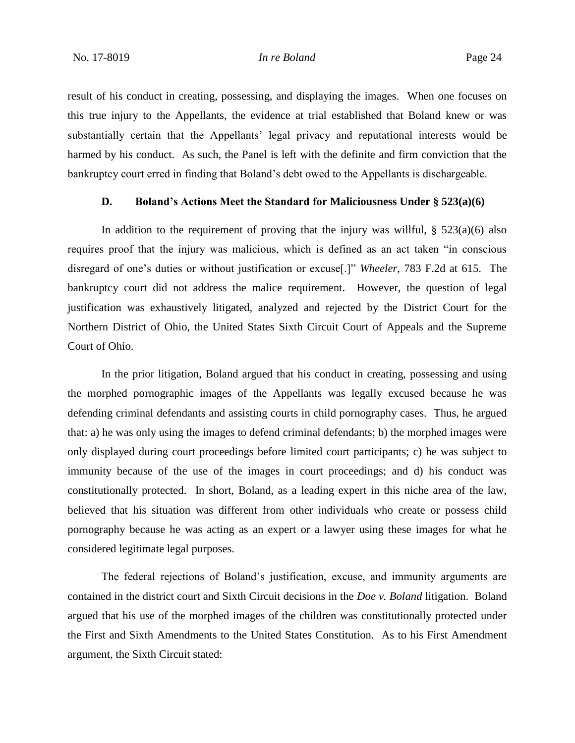result of his conduct in creating, possessing, and displaying the images. When one focuses on this true injury to the Appellants, the evidence at trial established that Boland knew or was substantially certain that the Appellants' legal privacy and reputational interests would be harmed by his conduct. As such, the Panel is left with the definite and firm conviction that the bankruptcy court erred in finding that Boland's debt owed to the Appellants is dischargeable.

# **D. Boland's Actions Meet the Standard for Maliciousness Under § 523(a)(6)**

In addition to the requirement of proving that the injury was willful,  $\S$  523(a)(6) also requires proof that the injury was malicious, which is defined as an act taken "in conscious disregard of one's duties or without justification or excuse[.]" *Wheeler*, 783 F.2d at 615. The bankruptcy court did not address the malice requirement. However, the question of legal justification was exhaustively litigated, analyzed and rejected by the District Court for the Northern District of Ohio, the United States Sixth Circuit Court of Appeals and the Supreme Court of Ohio.

In the prior litigation, Boland argued that his conduct in creating, possessing and using the morphed pornographic images of the Appellants was legally excused because he was defending criminal defendants and assisting courts in child pornography cases. Thus, he argued that: a) he was only using the images to defend criminal defendants; b) the morphed images were only displayed during court proceedings before limited court participants; c) he was subject to immunity because of the use of the images in court proceedings; and d) his conduct was constitutionally protected. In short, Boland, as a leading expert in this niche area of the law, believed that his situation was different from other individuals who create or possess child pornography because he was acting as an expert or a lawyer using these images for what he considered legitimate legal purposes.

The federal rejections of Boland's justification, excuse, and immunity arguments are contained in the district court and Sixth Circuit decisions in the *Doe v. Boland* litigation. Boland argued that his use of the morphed images of the children was constitutionally protected under the First and Sixth Amendments to the United States Constitution. As to his First Amendment argument, the Sixth Circuit stated: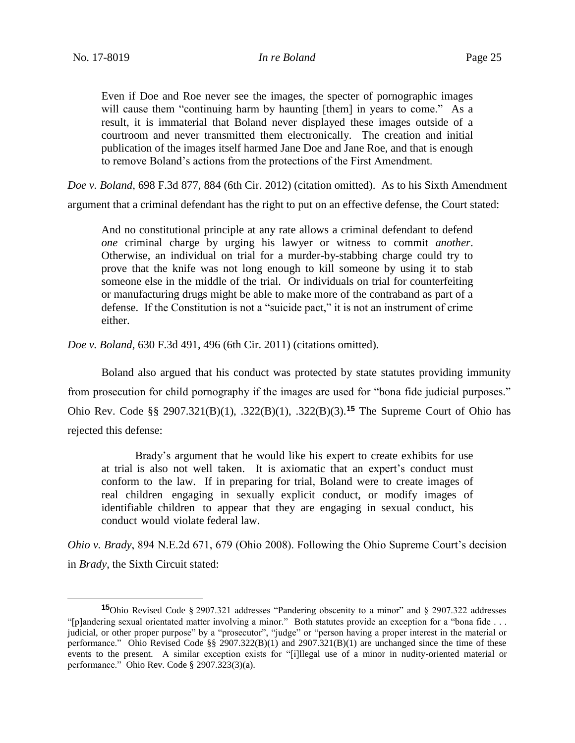Even if Doe and Roe never see the images, the specter of pornographic images will cause them "continuing harm by haunting [them] in years to come." As a result, it is immaterial that Boland never displayed these images outside of a courtroom and never transmitted them electronically. The creation and initial publication of the images itself harmed Jane Doe and Jane Roe, and that is enough to remove Boland's actions from the protections of the First Amendment.

*Doe v. Boland*, 698 F.3d 877, 884 (6th Cir. 2012) (citation omitted). As to his Sixth Amendment argument that a criminal defendant has the right to put on an effective defense, the Court stated:

And no constitutional principle at any rate allows a criminal defendant to defend *one* criminal charge by urging his lawyer or witness to commit *another*. Otherwise, an individual on trial for a murder-by-stabbing charge could try to prove that the knife was not long enough to kill someone by using it to stab someone else in the middle of the trial. Or individuals on trial for counterfeiting or manufacturing drugs might be able to make more of the contraband as part of a defense. If the Constitution is not a "suicide pact," it is not an instrument of crime either.

*Doe v. Boland*, 630 F.3d 491, 496 (6th Cir. 2011) (citations omitted).

Boland also argued that his conduct was protected by state statutes providing immunity from prosecution for child pornography if the images are used for "bona fide judicial purposes." Ohio Rev. Code §§ 2907.321(B)(1), .322(B)(1), .322(B)(3).**<sup>15</sup>** The Supreme Court of Ohio has rejected this defense:

Brady's argument that he would like his expert to create exhibits for use at trial is also not well taken. It is axiomatic that an expert's conduct must conform to the law. If in preparing for trial, Boland were to create images of real children engaging in sexually explicit conduct, or modify images of identifiable children to appear that they are engaging in sexual conduct, his conduct would violate federal law.

*Ohio v. Brady*, 894 N.E.2d 671, 679 (Ohio 2008). Following the Ohio Supreme Court's decision in *Brady*, the Sixth Circuit stated:

**<sup>15</sup>**Ohio Revised Code § 2907.321 addresses "Pandering obscenity to a minor" and § 2907.322 addresses "[p]andering sexual orientated matter involving a minor." Both statutes provide an exception for a "bona fide . . . judicial, or other proper purpose" by a "prosecutor", "judge" or "person having a proper interest in the material or performance." Ohio Revised Code §§ 2907.322(B)(1) and 2907.321(B)(1) are unchanged since the time of these events to the present. A similar exception exists for "[i]llegal use of a minor in nudity-oriented material or performance." Ohio Rev. Code § 2907.323(3)(a).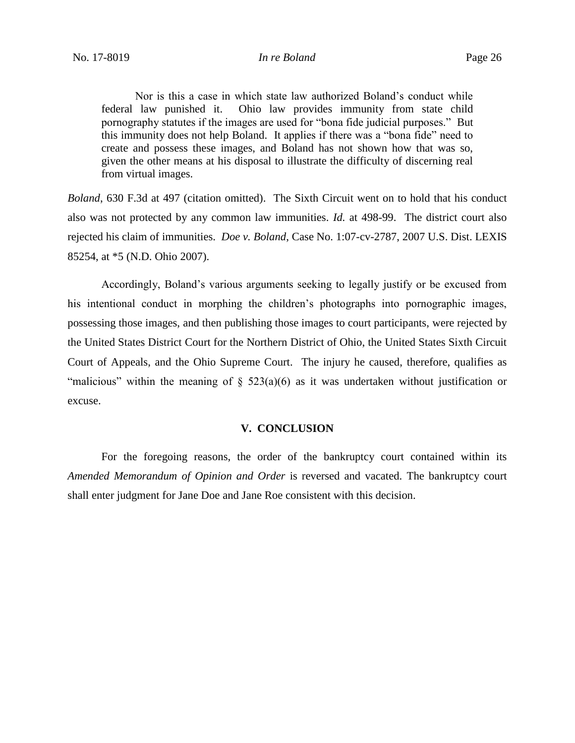Nor is this a case in which state law authorized Boland's conduct while federal law punished it. Ohio law provides immunity from state child pornography statutes if the images are used for "bona fide judicial purposes." But this immunity does not help Boland. It applies if there was a "bona fide" need to create and possess these images, and Boland has not shown how that was so, given the other means at his disposal to illustrate the difficulty of discerning real from virtual images.

*Boland*, 630 F.3d at 497 (citation omitted). The Sixth Circuit went on to hold that his conduct also was not protected by any common law immunities. *Id.* at 498-99. The district court also rejected his claim of immunities. *Doe v. Boland*, Case No. 1:07-cv-2787, 2007 U.S. Dist. LEXIS 85254, at \*5 (N.D. Ohio 2007).

Accordingly, Boland's various arguments seeking to legally justify or be excused from his intentional conduct in morphing the children's photographs into pornographic images, possessing those images, and then publishing those images to court participants, were rejected by the United States District Court for the Northern District of Ohio, the United States Sixth Circuit Court of Appeals, and the Ohio Supreme Court. The injury he caused, therefore, qualifies as "malicious" within the meaning of  $\S$  523(a)(6) as it was undertaken without justification or excuse.

### **V. CONCLUSION**

For the foregoing reasons, the order of the bankruptcy court contained within its *Amended Memorandum of Opinion and Order* is reversed and vacated. The bankruptcy court shall enter judgment for Jane Doe and Jane Roe consistent with this decision.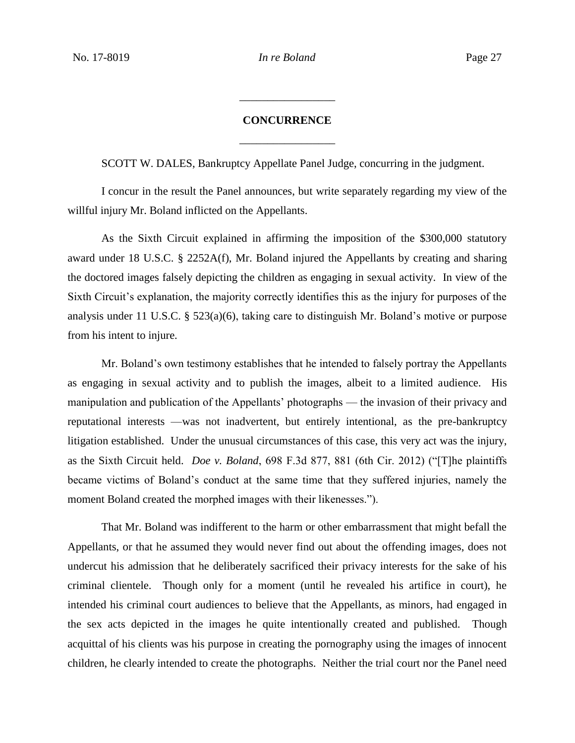# **CONCURRENCE** \_\_\_\_\_\_\_\_\_\_\_\_\_\_\_\_\_

\_\_\_\_\_\_\_\_\_\_\_\_\_\_\_\_\_

SCOTT W. DALES, Bankruptcy Appellate Panel Judge, concurring in the judgment.

I concur in the result the Panel announces, but write separately regarding my view of the willful injury Mr. Boland inflicted on the Appellants.

As the Sixth Circuit explained in affirming the imposition of the \$300,000 statutory award under 18 U.S.C. § 2252A(f), Mr. Boland injured the Appellants by creating and sharing the doctored images falsely depicting the children as engaging in sexual activity. In view of the Sixth Circuit's explanation, the majority correctly identifies this as the injury for purposes of the analysis under 11 U.S.C. § 523(a)(6), taking care to distinguish Mr. Boland's motive or purpose from his intent to injure.

Mr. Boland's own testimony establishes that he intended to falsely portray the Appellants as engaging in sexual activity and to publish the images, albeit to a limited audience. His manipulation and publication of the Appellants' photographs — the invasion of their privacy and reputational interests —was not inadvertent, but entirely intentional, as the pre-bankruptcy litigation established. Under the unusual circumstances of this case, this very act was the injury, as the Sixth Circuit held. *Doe v. Boland*, 698 F.3d 877, 881 (6th Cir. 2012) ("[T]he plaintiffs became victims of Boland's conduct at the same time that they suffered injuries, namely the moment Boland created the morphed images with their likenesses.").

That Mr. Boland was indifferent to the harm or other embarrassment that might befall the Appellants, or that he assumed they would never find out about the offending images, does not undercut his admission that he deliberately sacrificed their privacy interests for the sake of his criminal clientele. Though only for a moment (until he revealed his artifice in court), he intended his criminal court audiences to believe that the Appellants, as minors, had engaged in the sex acts depicted in the images he quite intentionally created and published. Though acquittal of his clients was his purpose in creating the pornography using the images of innocent children, he clearly intended to create the photographs. Neither the trial court nor the Panel need